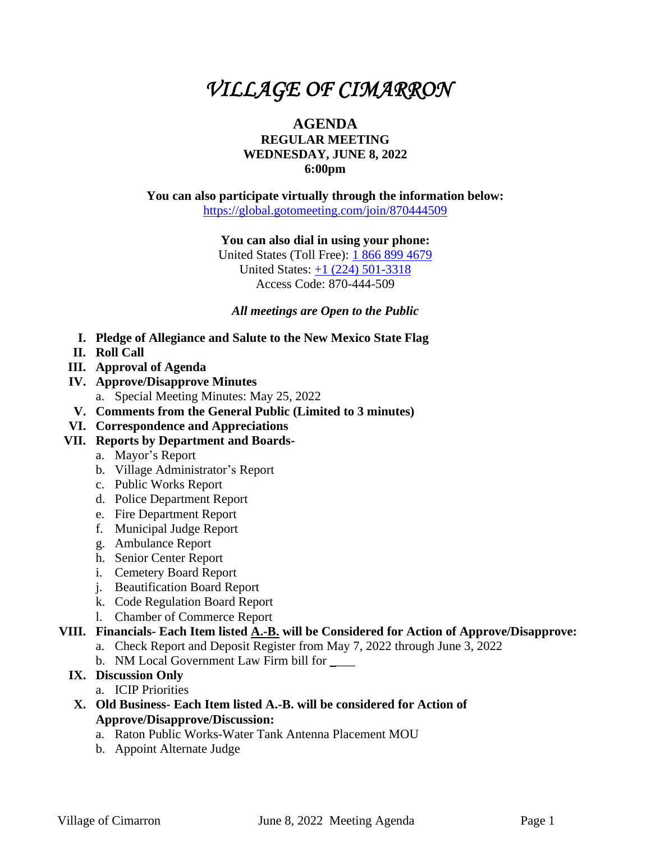# *VILLAGE OF CIMARRON*

## **AGENDA REGULAR MEETING WEDNESDAY, JUNE 8, 2022 6:00pm**

**You can also participate virtually through the information below:** <https://global.gotomeeting.com/join/870444509>

**You can also dial in using your phone:**

United States (Toll Free): [1 866 899 4679](tel:+18668994679,,870444509) United States: [+1 \(224\) 501-3318](tel:+12245013318,,870444509) Access Code: 870-444-509

*All meetings are Open to the Public*

- **I. Pledge of Allegiance and Salute to the New Mexico State Flag**
- **II. Roll Call**
- **III. Approval of Agenda**
- **IV. Approve/Disapprove Minutes** a. Special Meeting Minutes: May 25, 2022
- **V. Comments from the General Public (Limited to 3 minutes)**
- **VI. Correspondence and Appreciations**

## **VII. Reports by Department and Boards-**

- a. Mayor's Report
- b. Village Administrator's Report
- c. Public Works Report
- d. Police Department Report
- e. Fire Department Report
- f. Municipal Judge Report
- g. Ambulance Report
- h. Senior Center Report
- i. Cemetery Board Report
- j. Beautification Board Report
- k. Code Regulation Board Report
- l. Chamber of Commerce Report

### **VIII. Financials- Each Item listed A.-B. will be Considered for Action of Approve/Disapprove:**

- a. Check Report and Deposit Register from May 7, 2022 through June 3, 2022
- b. NM Local Government Law Firm bill for \_\_\_\_

## **IX. Discussion Only**

- a. ICIP Priorities
- **X. Old Business- Each Item listed A.-B. will be considered for Action of Approve/Disapprove/Discussion:**
	- a. Raton Public Works-Water Tank Antenna Placement MOU
	- b. Appoint Alternate Judge